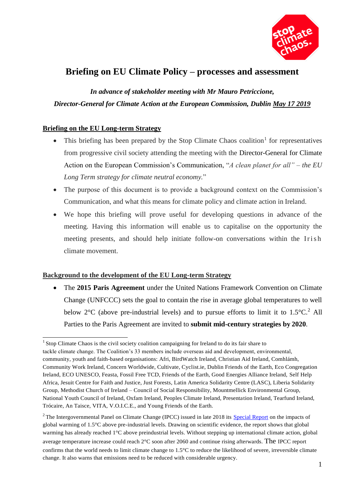

# **Briefing on EU Climate Policy – processes and assessment**

*In advance of stakeholder meeting with Mr Mauro Petriccione, Director-General for Climate Action at the European Commission, Dublin May 17 2019*

# **Briefing on the EU Long-term Strategy**

- This briefing has been prepared by the Stop Climate Chaos coalition<sup>1</sup> for representatives from progressive civil society attending the meeting with the Director-General for Climate Action on the European Commission's Communication, "*A clean planet for all" – the EU Long Term strategy for climate neutral economy.*"
- The purpose of this document is to provide a background context on the Commission's Communication, and what this means for climate policy and climate action in Ireland.
- We hope this briefing will prove useful for developing questions in advance of the meeting. Having this information will enable us to capitalise on the opportunity the meeting presents, and should help initiate follow-on conversations within the Irish climate movement.

## **Background to the development of the EU Long-term Strategy**

 The **2015 Paris Agreement** under the United Nations Framework Convention on Climate Change (UNFCCC) sets the goal to contain the rise in average global temperatures to well below  $2^{\circ}$ C (above pre-industrial levels) and to pursue efforts to limit it to  $1.5^{\circ}$ C.<sup>2</sup> All Parties to the Paris Agreement are invited to **submit mid-century strategies by 2020**.

<sup>&</sup>lt;sup>1</sup> Stop Climate Chaos is the civil society coalition campaigning for Ireland to do its fair share to tackle climate change. The Coalition's 33 members include overseas aid and development, environmental, community, youth and faith-based organisations: Afri, BirdWatch Ireland, Christian Aid Ireland, Comhlámh, Community Work Ireland, Concern Worldwide, Cultivate, Cyclist.ie, Dublin Friends of the Earth, Eco Congregation Ireland, ECO UNESCO, Feasta, Fossil Free TCD, Friends of the Earth, Good Energies Alliance Ireland, Self Help Africa, Jesuit Centre for Faith and Justice, Just Forests, Latin America Solidarity Centre (LASC), Liberia Solidarity Group, Methodist Church of Ireland – Council of Social Responsibility, Mountmellick Environmental Group, National Youth Council of Ireland, Oxfam Ireland, Peoples Climate Ireland, Presentation Ireland, Tearfund Ireland, Trócaire, An Taisce, VITA, V.O.I.C.E., and Young Friends of the Earth.

<sup>&</sup>lt;sup>2</sup>The Intergovernmental Panel on Climate Change (IPCC) issued in late 2018 its Special Report on the impacts of global warming of 1.5°C above pre-industrial levels. Drawing on scientific evidence, the report shows that global warming has already reached 1°C above preindustrial levels. Without stepping up international climate action, global average temperature increase could reach 2°C soon after 2060 and continue rising afterwards. The IPCC report confirms that the world needs to limit climate change to 1.5°C to reduce the likelihood of severe, irreversible climate change. It also warns that emissions need to be reduced with considerable urgency.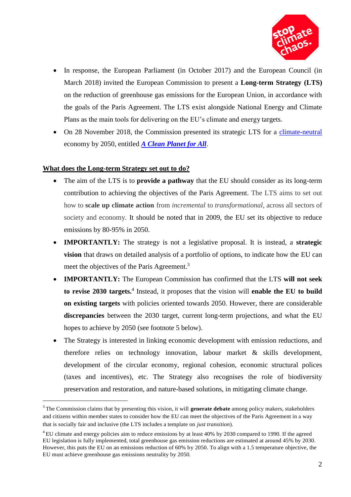

- In response, the European Parliament (in October 2017) and the European Council (in March 2018) invited the European Commission to present a **Long-term Strategy (LTS)**  on the reduction of greenhouse gas emissions for the European Union, in accordance with the goals of the Paris Agreement. The LTS exist alongside National Energy and Climate Plans as the main tools for delivering on the EU's climate and energy targets.
- On 28 November 2018, the Commission presented its strategic LTS for a climate-neutral economy by 2050, entitled *A Clean Planet for All*.

#### **What does the Long-term Strategy set out to do?**

- The aim of the LTS is to **provide a pathway** that the EU should consider as its long-term contribution to achieving the objectives of the Paris Agreement. The LTS aims to set out how to **scale up climate action** from *incremental* to *transformational*, across all sectors of society and economy. It should be noted that in 2009, the EU set its objective to reduce emissions by 80-95% in 2050.
- **IMPORTANTLY:** The strategy is not a legislative proposal. It is instead, a **strategic vision** that draws on detailed analysis of a portfolio of options, to indicate how the EU can meet the objectives of the Paris Agreement.<sup>3</sup>
- **IMPORTANTLY:** The European Commission has confirmed that the LTS **will not seek to revise 2030 targets.**<sup>4</sup> Instead, it proposes that the vision will **enable the EU to build on existing targets** with policies oriented towards 2050. However, there are considerable **discrepancies** between the 2030 target, current long-term projections, and what the EU hopes to achieve by 2050 (see footnote 5 below).
- The Strategy is interested in linking economic development with emission reductions, and therefore relies on technology innovation, labour market & skills development, development of the circular economy, regional cohesion, economic structural polices (taxes and incentives), etc. The Strategy also recognises the role of biodiversity preservation and restoration, and nature-based solutions, in mitigating climate change.

<sup>3</sup>The Commission claims that by presenting this vision, it will **generate debate** among policy makers, stakeholders and citizens within member states to consider how the EU can meet the objectives of the Paris Agreement in a way that is socially fair and inclusive (the LTS includes a template on *just transition*).

<sup>&</sup>lt;sup>4</sup> EU climate and energy policies aim to reduce emissions by at least 40% by 2030 compared to 1990. If the agreed EU legislation is fully implemented, total greenhouse gas emission reductions are estimated at around 45% by 2030. However, this puts the EU on an emissions reduction of 60% by 2050. To align with a 1.5 temperature objective, the EU must achieve greenhouse gas emissions neutrality by 2050.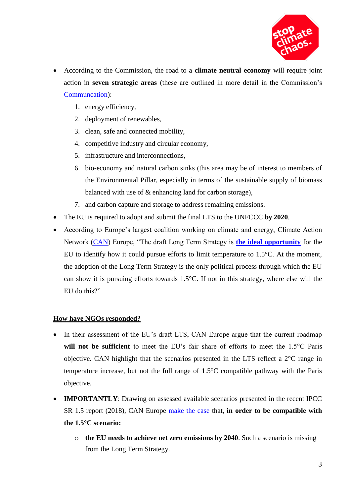

- According to the Commission, the road to a **climate neutral economy** will require joint action in **seven strategic areas** (these are outlined in more detail in the Commission's Communcation):
	- 1. energy efficiency,
	- 2. deployment of renewables,
	- 3. clean, safe and connected mobility,
	- 4. competitive industry and circular economy,
	- 5. infrastructure and interconnections,
	- 6. bio-economy and natural carbon sinks (this area may be of interest to members of the Environmental Pillar, especially in terms of the sustainable supply of biomass balanced with use of & enhancing land for carbon storage),
	- 7. and carbon capture and storage to address remaining emissions.
- The EU is required to adopt and submit the final LTS to the UNFCCC **by 2020**.
- According to Europe's largest coalition working on climate and energy, Climate Action Network (CAN) Europe, "The draft Long Term Strategy is **the ideal opportunity** for the EU to identify how it could pursue efforts to limit temperature to 1.5°C. At the moment, the adoption of the Long Term Strategy is the only political process through which the EU can show it is pursuing efforts towards 1.5°C. If not in this strategy, where else will the EU do this?"

## **How have NGOs responded?**

- In their assessment of the EU's draft LTS, CAN Europe argue that the current roadmap **will not be sufficient** to meet the EU's fair share of efforts to meet the 1.5°C Paris objective. CAN highlight that the scenarios presented in the LTS reflect a 2°C range in temperature increase, but not the full range of 1.5°C compatible pathway with the Paris objective.
- **IMPORTANTLY**: Drawing on assessed available scenarios presented in the recent IPCC SR 1.5 report (2018), CAN Europe make the case that, **in order to be compatible with the 1.5°C scenario:**
	- o **the EU needs to achieve net zero emissions by 2040**. Such a scenario is missing from the Long Term Strategy.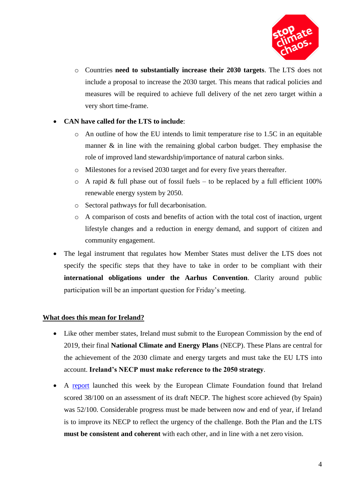

o Countries **need to substantially increase their 2030 targets**. The LTS does not include a proposal to increase the 2030 target. This means that radical policies and measures will be required to achieve full delivery of the net zero target within a very short time-frame.

# **CAN have called for the LTS to include**:

- o An outline of how the EU intends to limit temperature rise to 1.5C in an equitable manner  $\&$  in line with the remaining global carbon budget. They emphasise the role of improved land stewardship/importance of natural carbon sinks.
- o Milestones for a revised 2030 target and for every five years thereafter.
- $\circ$  A rapid & full phase out of fossil fuels to be replaced by a full efficient 100% renewable energy system by 2050.
- o Sectoral pathways for full decarbonisation.
- o A comparison of costs and benefits of action with the total cost of inaction, urgent lifestyle changes and a reduction in energy demand, and support of citizen and community engagement.
- The legal instrument that regulates how Member States must deliver the LTS does not specify the specific steps that they have to take in order to be compliant with their **international obligations under the Aarhus Convention**. Clarity around public participation will be an important question for Friday's meeting.

## **What does this mean for Ireland?**

- Like other member states, Ireland must submit to the European Commission by the end of 2019, their final **National Climate and Energy Plans** (NECP). These Plans are central for the achievement of the 2030 climate and energy targets and must take the EU LTS into account. **Ireland's NECP must make reference to the 2050 strategy**.
- A report launched this week by the European Climate Foundation found that Ireland scored 38/100 on an assessment of its draft NECP. The highest score achieved (by Spain) was 52/100. Considerable progress must be made between now and end of year, if Ireland is to improve its NECP to reflect the urgency of the challenge. Both the Plan and the LTS **must be consistent and coherent** with each other, and in line with a net zero vision.